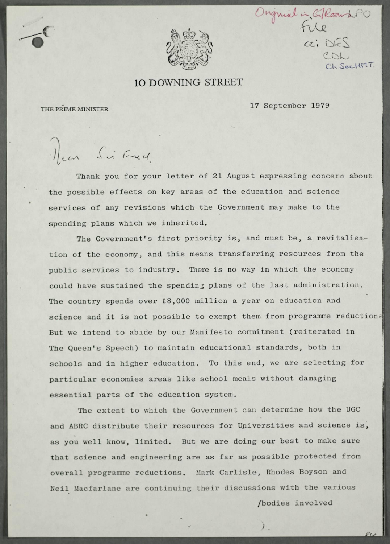

Originial in Gilbourne PO<br>File<br>ai DES  $P N$ SectionT.

## 10 DOWNING STREET

**17 September 1979** THE PRIME MINISTER

Mean Si Fred

Thank you for your letter of 21 August expressing concern about the possible effects on key areas of the education and science **service s of any revision s which the Government may make to the**  spending plans which we inherited.

The Government's first priority is, and must be, a revitalisa**tio n of the economy, and thi s means transferrin g resources from the publi c service s to industry . There i s no way i n which the economy**  could have sustained the spending plans of the last administration. The country spends over £8,000 million a year on education and science and it is not possible to exempt them from programme reductions But we intend to abide by our Manifesto commitment (reiterated in The Queen's Speech) to maintain educational standards, both in schools and in higher education. To this end, we are selecting for particular economies areas like school meals without damaging **essentia l part s of the education system.** 

**The extent to which the Government can determine how the UGC and ABRC distribut e thei r resources fo r Universitie s and science is ,**  as you well know, limited. But we are doing our best to make sure that science and engineering are as far as possible protected from **overal l programme reductions. Mark Carlisle , Rhodes Boyson and Nei l Macfarlane are continuing thei r discussion s with the various** 

/bodies involved